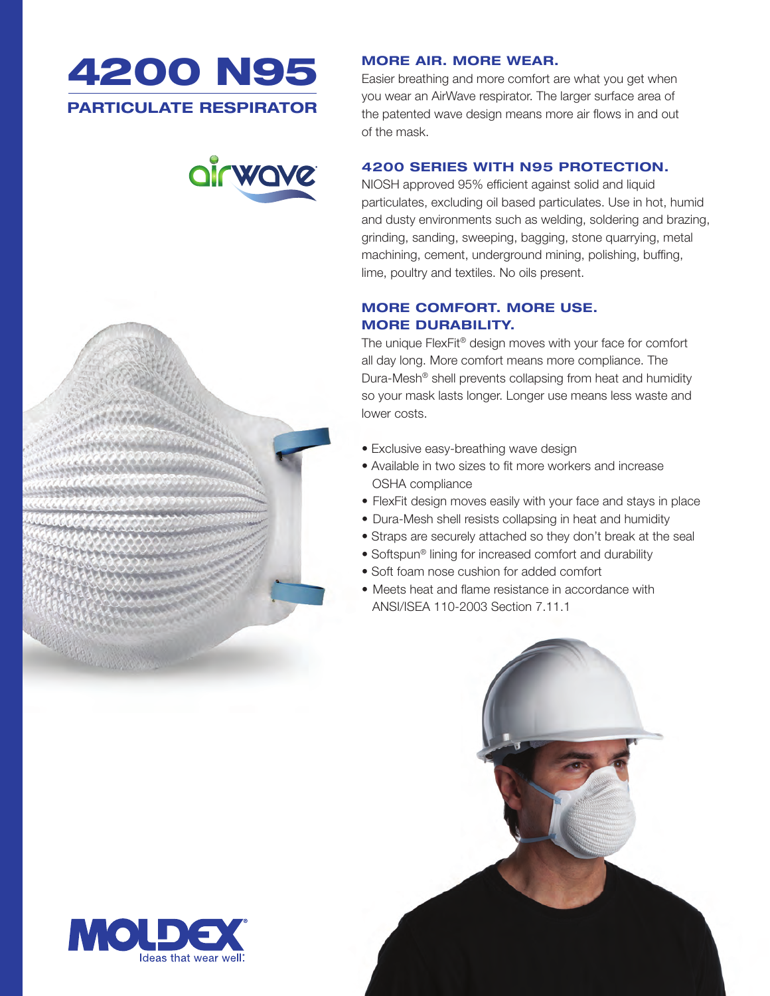





#### **MORE AIR. MORE WEAR.**

Easier breathing and more comfort are what you get when you wear an AirWave respirator. The larger surface area of the patented wave design means more air flows in and out of the mask.

### **4200 SERIES WITH N95 PROTECTION.**

NIOSH approved 95% efficient against solid and liquid particulates, excluding oil based particulates. Use in hot, humid and dusty environments such as welding, soldering and brazing, grinding, sanding, sweeping, bagging, stone quarrying, metal machining, cement, underground mining, polishing, buffing, lime, poultry and textiles. No oils present.

## **MORE COMFORT. MORE USE. MORE DURABILITY.**

The unique FlexFit® design moves with your face for comfort all day long. More comfort means more compliance. The Dura-Mesh® shell prevents collapsing from heat and humidity so your mask lasts longer. Longer use means less waste and lower costs.

- Exclusive easy-breathing wave design
- Available in two sizes to fit more workers and increase OSHA compliance
- FlexFit design moves easily with your face and stays in place
- Dura-Mesh shell resists collapsing in heat and humidity
- Straps are securely attached so they don't break at the seal
- Softspun® lining for increased comfort and durability
- Soft foam nose cushion for added comfort
- Meets heat and flame resistance in accordance with ANSI/ISEA 110-2003 Section 7.11.1